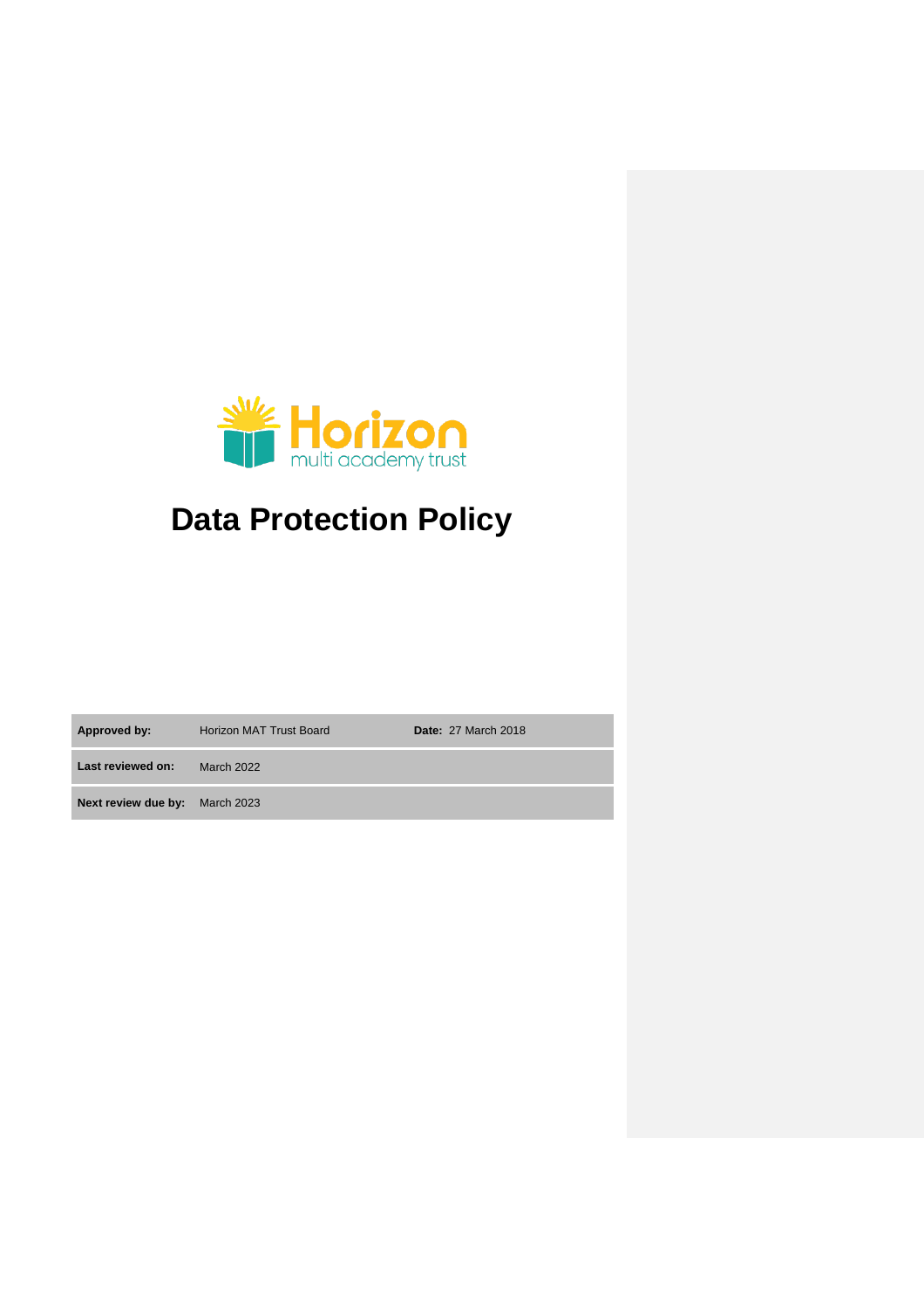

# **Data Protection Policy**

**Approved by:** Horizon MAT Trust Board **Date:** 27 March 2018

**Last reviewed on:** March 2022 **Next review due by:** March 2023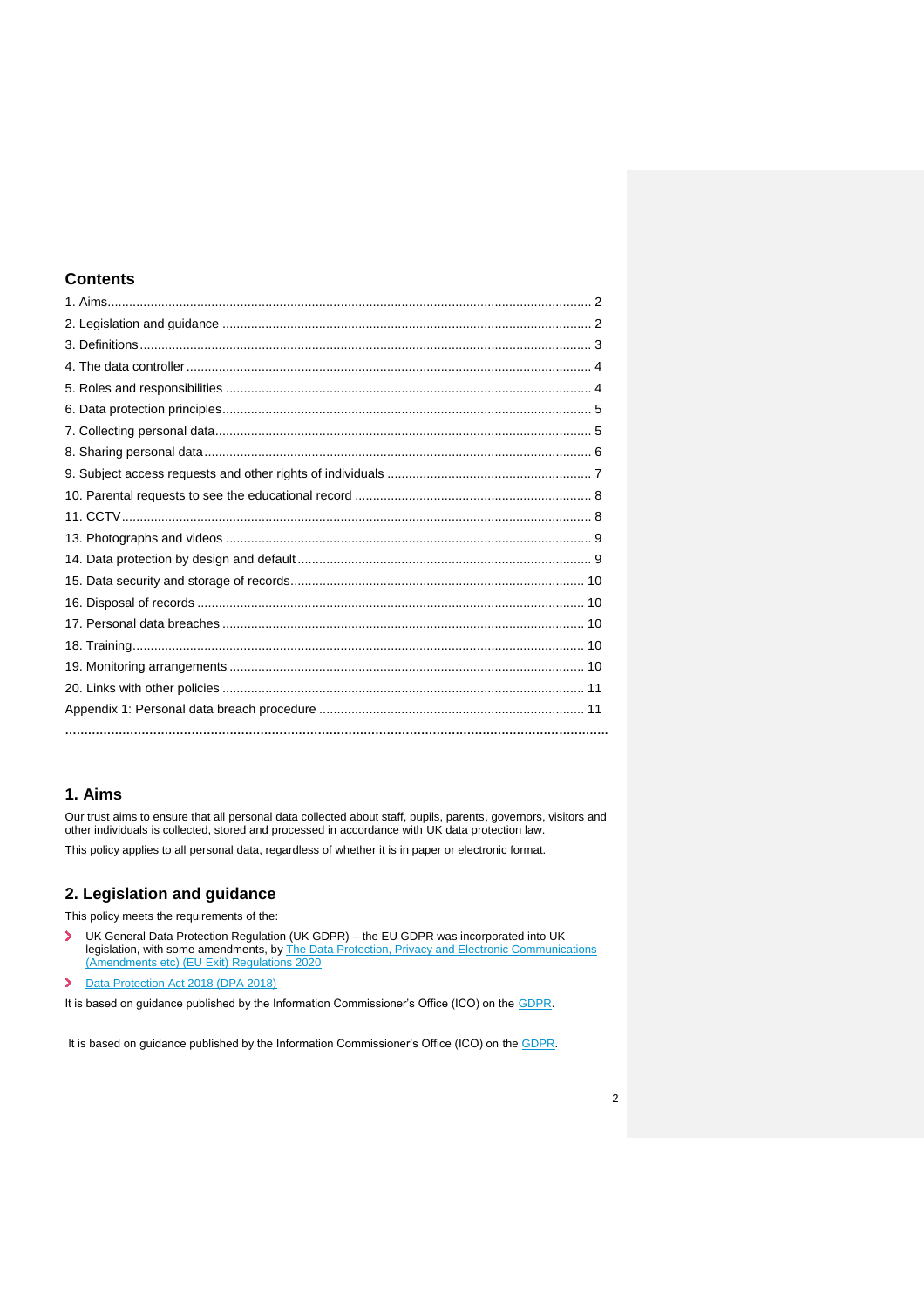# **Contents**

# **1. Aims**

Our trust aims to ensure that all personal data collected about staff, pupils, parents, governors, visitors and other individuals is collected, stored and processed in accordance with UK data protection law.

This policy applies to all personal data, regardless of whether it is in paper or electronic format.

# **2. Legislation and guidance**

This policy meets the requirements of the:

- UK General Data Protection Regulation (UK GDPR) the EU GDPR was incorporated into UK  $\blacktriangleright$ legislation, with some amendments, by The Data Protection, Privacy and Electronic Communications [\(Amendments etc\) \(EU Exit\) Regulations 2020](https://www.legislation.gov.uk/uksi/2020/1586/made)
- [Data Protection Act 2018 \(DPA 2018\)](http://www.legislation.gov.uk/ukpga/2018/12/contents/enacted)
- It is based on guidance published by the Information Commissioner's Office (ICO) on the [GDPR.](https://ico.org.uk/for-organisations/guide-to-the-general-data-protection-regulation-gdpr/)

It is based on guidance published by the Information Commissioner's Office (ICO) on the [GDPR.](https://ico.org.uk/for-organisations/guide-to-the-general-data-protection-regulation-gdpr/)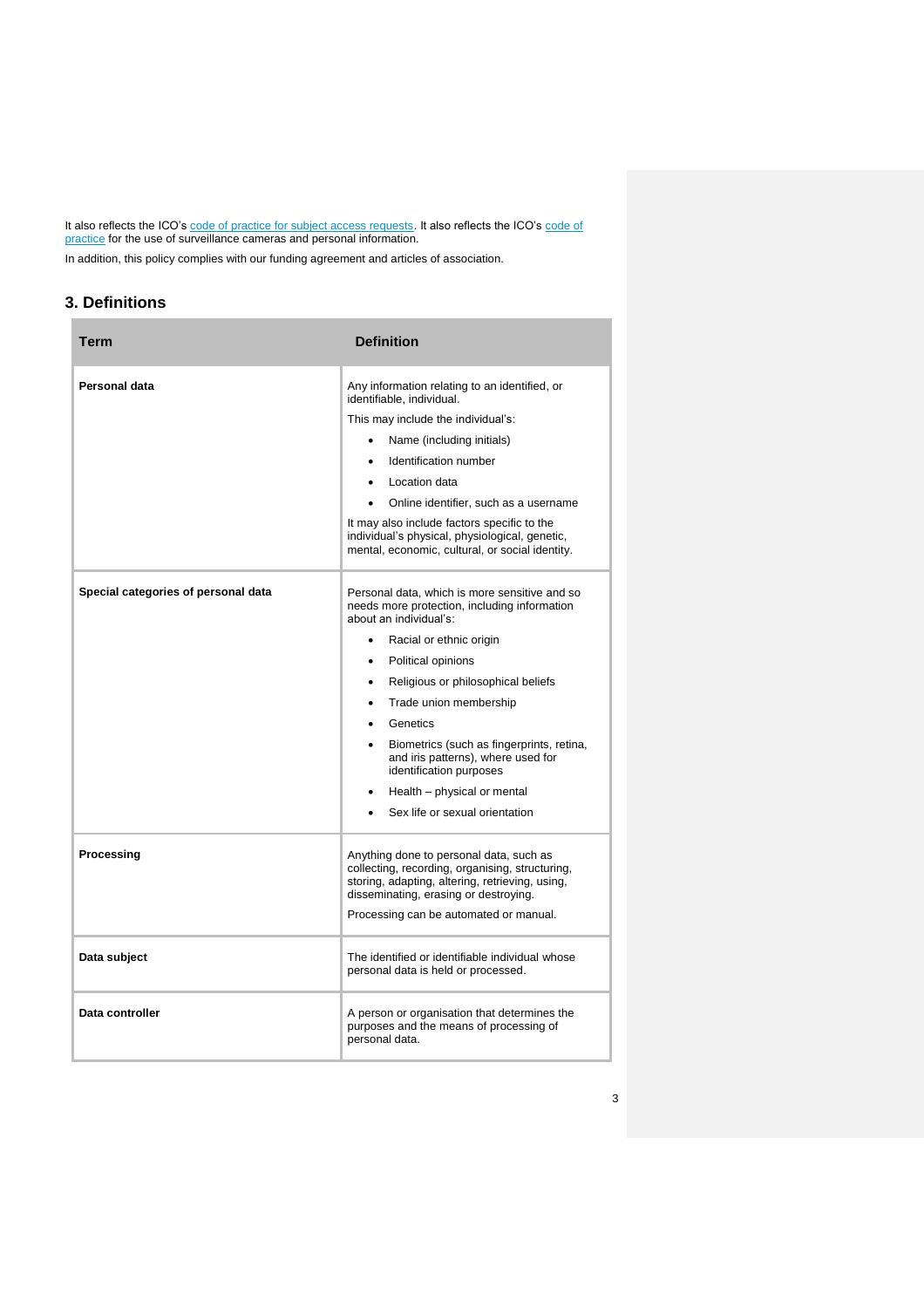It also reflects the ICO's [code of practice for subject access requests.](https://ico.org.uk/media/for-organisations/documents/2014223/subject-access-code-of-practice.pdf) It also reflects the ICO's code of [practice](https://ico.org.uk/media/for-organisations/documents/1542/cctv-code-of-practice.pdf) for the use of surveillance cameras and personal information.

In addition, this policy complies with our funding agreement and articles of association.

# **3. Definitions**

| <b>Term</b>                         | <b>Definition</b>                                                                                                                                                                      |
|-------------------------------------|----------------------------------------------------------------------------------------------------------------------------------------------------------------------------------------|
| Personal data                       | Any information relating to an identified, or<br>identifiable, individual.                                                                                                             |
|                                     | This may include the individual's:                                                                                                                                                     |
|                                     | Name (including initials)                                                                                                                                                              |
|                                     | Identification number<br>$\bullet$                                                                                                                                                     |
|                                     | Location data<br>$\bullet$                                                                                                                                                             |
|                                     | Online identifier, such as a username                                                                                                                                                  |
|                                     | It may also include factors specific to the<br>individual's physical, physiological, genetic,<br>mental, economic, cultural, or social identity.                                       |
| Special categories of personal data | Personal data, which is more sensitive and so<br>needs more protection, including information<br>about an individual's:                                                                |
|                                     | Racial or ethnic origin<br>$\bullet$                                                                                                                                                   |
|                                     | Political opinions<br>$\bullet$                                                                                                                                                        |
|                                     | Religious or philosophical beliefs<br>$\bullet$                                                                                                                                        |
|                                     | Trade union membership<br>٠                                                                                                                                                            |
|                                     | Genetics<br>$\bullet$                                                                                                                                                                  |
|                                     | Biometrics (such as fingerprints, retina,<br>$\bullet$<br>and iris patterns), where used for<br>identification purposes                                                                |
|                                     | Health - physical or mental<br>$\bullet$                                                                                                                                               |
|                                     | Sex life or sexual orientation                                                                                                                                                         |
| Processing                          | Anything done to personal data, such as<br>collecting, recording, organising, structuring,<br>storing, adapting, altering, retrieving, using,<br>disseminating, erasing or destroying. |
|                                     | Processing can be automated or manual.                                                                                                                                                 |
| Data subject                        | The identified or identifiable individual whose<br>personal data is held or processed.                                                                                                 |
| Data controller                     | A person or organisation that determines the<br>purposes and the means of processing of<br>personal data.                                                                              |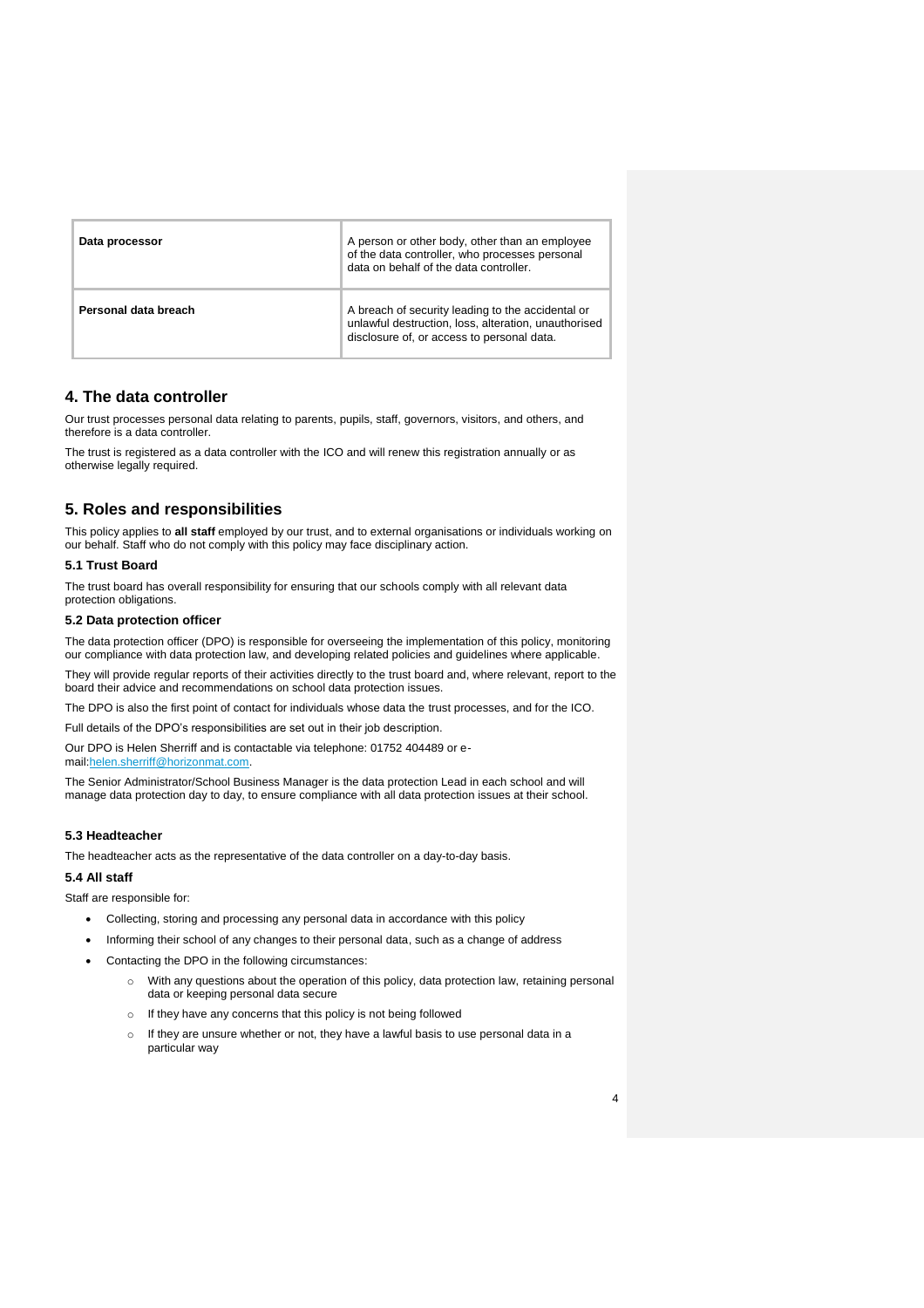| Data processor       | A person or other body, other than an employee<br>of the data controller, who processes personal<br>data on behalf of the data controller.              |
|----------------------|---------------------------------------------------------------------------------------------------------------------------------------------------------|
| Personal data breach | A breach of security leading to the accidental or<br>unlawful destruction, loss, alteration, unauthorised<br>disclosure of, or access to personal data. |

## **4. The data controller**

Our trust processes personal data relating to parents, pupils, staff, governors, visitors, and others, and therefore is a data controller.

The trust is registered as a data controller with the ICO and will renew this registration annually or as otherwise legally required.

# **5. Roles and responsibilities**

This policy applies to **all staff** employed by our trust, and to external organisations or individuals working on our behalf. Staff who do not comply with this policy may face disciplinary action.

#### **5.1 Trust Board**

The trust board has overall responsibility for ensuring that our schools comply with all relevant data protection obligations.

## **5.2 Data protection officer**

The data protection officer (DPO) is responsible for overseeing the implementation of this policy, monitoring our compliance with data protection law, and developing related policies and guidelines where applicable.

They will provide regular reports of their activities directly to the trust board and, where relevant, report to the board their advice and recommendations on school data protection issues.

The DPO is also the first point of contact for individuals whose data the trust processes, and for the ICO.

Full details of the DPO's responsibilities are set out in their job description.

Our DPO is Helen Sherriff and is contactable via telephone: 01752 404489 or email[:helen.sherriff@horizonmat.com.](mailto:helen.sherriff@horizonmat.com)

The Senior Administrator/School Business Manager is the data protection Lead in each school and will manage data protection day to day, to ensure compliance with all data protection issues at their school.

#### **5.3 Headteacher**

The headteacher acts as the representative of the data controller on a day-to-day basis.

## **5.4 All staff**

Staff are responsible for:

- Collecting, storing and processing any personal data in accordance with this policy
- Informing their school of any changes to their personal data, such as a change of address
- Contacting the DPO in the following circumstances:
	- o With any questions about the operation of this policy, data protection law, retaining personal data or keeping personal data secure
	- o If they have any concerns that this policy is not being followed
	- o If they are unsure whether or not, they have a lawful basis to use personal data in a particular way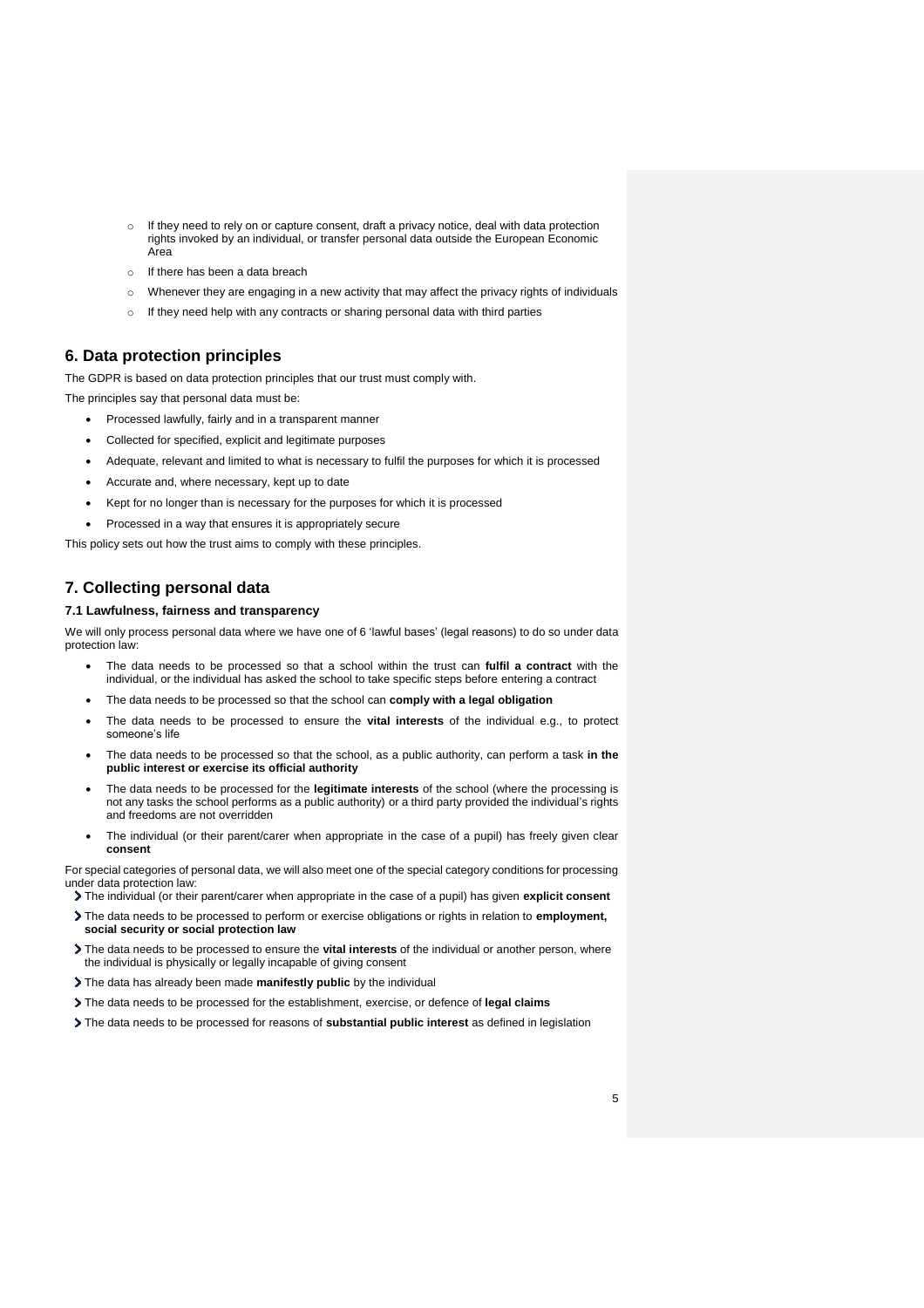- If they need to rely on or capture consent, draft a privacy notice, deal with data protection rights invoked by an individual, or transfer personal data outside the European Economic Area
- o If there has been a data breach
- o Whenever they are engaging in a new activity that may affect the privacy rights of individuals
- If they need help with any contracts or sharing personal data with third parties

## **6. Data protection principles**

The GDPR is based on data protection principles that our trust must comply with.

The principles say that personal data must be:

- Processed lawfully, fairly and in a transparent manner
- Collected for specified, explicit and legitimate purposes
- Adequate, relevant and limited to what is necessary to fulfil the purposes for which it is processed
- Accurate and, where necessary, kept up to date
- Kept for no longer than is necessary for the purposes for which it is processed
- Processed in a way that ensures it is appropriately secure

This policy sets out how the trust aims to comply with these principles.

# **7. Collecting personal data**

### **7.1 Lawfulness, fairness and transparency**

We will only process personal data where we have one of 6 'lawful bases' (legal reasons) to do so under data protection law:

- The data needs to be processed so that a school within the trust can **fulfil a contract** with the individual, or the individual has asked the school to take specific steps before entering a contract
- The data needs to be processed so that the school can **comply with a legal obligation**
- The data needs to be processed to ensure the **vital interests** of the individual e.g., to protect someone's life
- The data needs to be processed so that the school, as a public authority, can perform a task **in the public interest or exercise its official authority**
- The data needs to be processed for the **legitimate interests** of the school (where the processing is not any tasks the school performs as a public authority) or a third party provided the individual's rights and freedoms are not overridden
- The individual (or their parent/carer when appropriate in the case of a pupil) has freely given clear **consent**

For special categories of personal data, we will also meet one of the special category conditions for processing under data protection law:

- The individual (or their parent/carer when appropriate in the case of a pupil) has given **explicit consent**
- The data needs to be processed to perform or exercise obligations or rights in relation to **employment, social security or social protection law**
- The data needs to be processed to ensure the **vital interests** of the individual or another person, where the individual is physically or legally incapable of giving consent
- The data has already been made **manifestly public** by the individual
- The data needs to be processed for the establishment, exercise, or defence of **legal claims**
- The data needs to be processed for reasons of **substantial public interest** as defined in legislation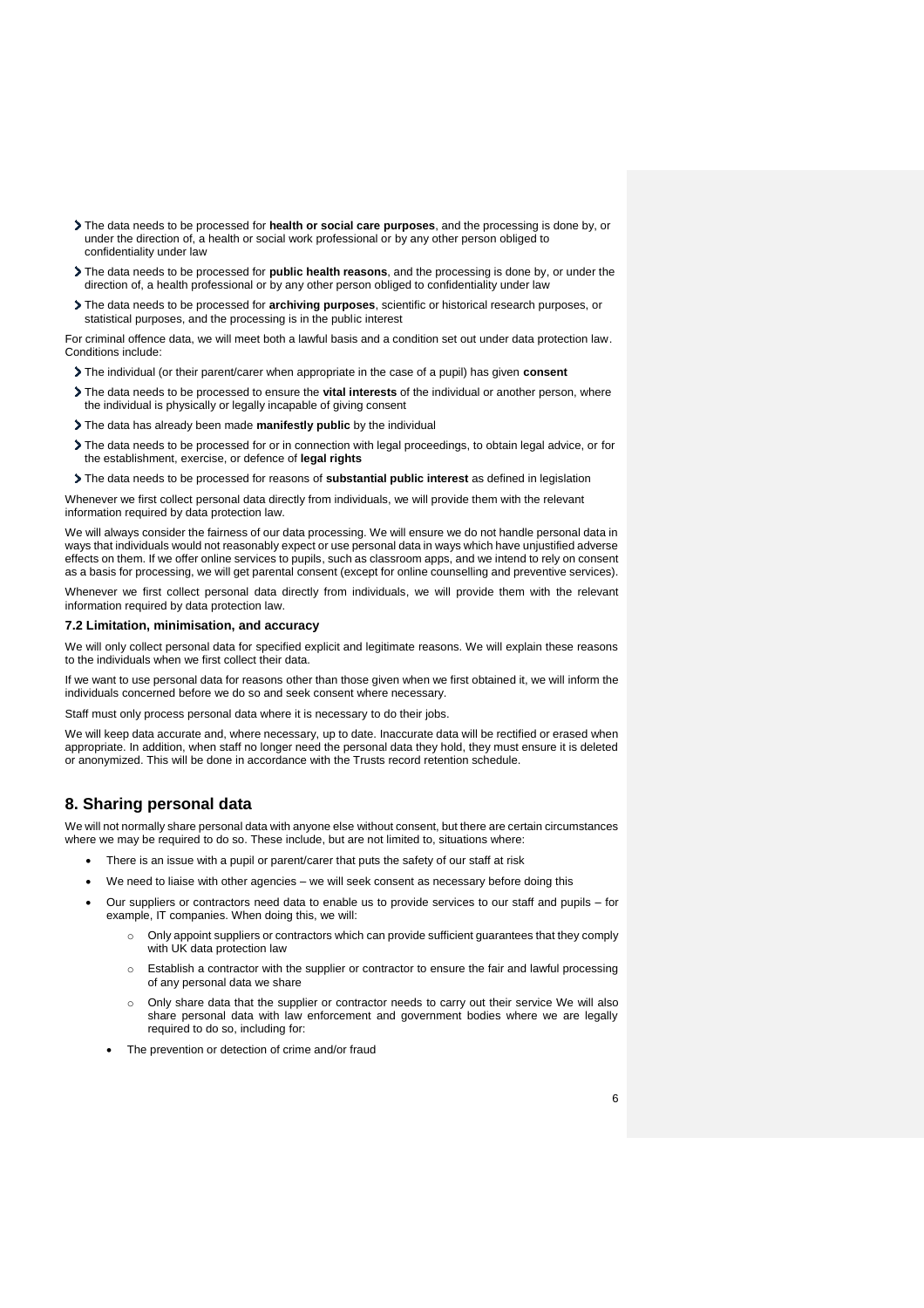- The data needs to be processed for **health or social care purposes**, and the processing is done by, or under the direction of, a health or social work professional or by any other person obliged to confidentiality under law
- The data needs to be processed for **public health reasons**, and the processing is done by, or under the direction of, a health professional or by any other person obliged to confidentiality under law
- The data needs to be processed for **archiving purposes**, scientific or historical research purposes, or statistical purposes, and the processing is in the public interest

For criminal offence data, we will meet both a lawful basis and a condition set out under data protection law. Conditions include:

- The individual (or their parent/carer when appropriate in the case of a pupil) has given **consent**
- The data needs to be processed to ensure the **vital interests** of the individual or another person, where the individual is physically or legally incapable of giving consent
- The data has already been made **manifestly public** by the individual
- The data needs to be processed for or in connection with legal proceedings, to obtain legal advice, or for the establishment, exercise, or defence of **legal rights**
- The data needs to be processed for reasons of **substantial public interest** as defined in legislation

Whenever we first collect personal data directly from individuals, we will provide them with the relevant information required by data protection law.

We will always consider the fairness of our data processing. We will ensure we do not handle personal data in ways that individuals would not reasonably expect or use personal data in ways which have unjustified adverse effects on them. If we offer online services to pupils, such as classroom apps, and we intend to rely on consent as a basis for processing, we will get parental consent (except for online counselling and preventive services).

Whenever we first collect personal data directly from individuals, we will provide them with the relevant information required by data protection law.

#### **7.2 Limitation, minimisation, and accuracy**

We will only collect personal data for specified explicit and legitimate reasons. We will explain these reasons to the individuals when we first collect their data.

If we want to use personal data for reasons other than those given when we first obtained it, we will inform the individuals concerned before we do so and seek consent where necessary.

Staff must only process personal data where it is necessary to do their jobs.

We will keep data accurate and, where necessary, up to date. Inaccurate data will be rectified or erased when appropriate. In addition, when staff no longer need the personal data they hold, they must ensure it is deleted or anonymized. This will be done in accordance with the Trusts record retention schedule.

## **8. Sharing personal data**

We will not normally share personal data with anyone else without consent, but there are certain circumstances where we may be required to do so. These include, but are not limited to, situations where:

- There is an issue with a pupil or parent/carer that puts the safety of our staff at risk
- We need to liaise with other agencies we will seek consent as necessary before doing this
- Our suppliers or contractors need data to enable us to provide services to our staff and pupils for example, IT companies. When doing this, we will:
	- Only appoint suppliers or contractors which can provide sufficient guarantees that they comply with UK data protection law
	- o Establish a contractor with the supplier or contractor to ensure the fair and lawful processing of any personal data we share
	- o Only share data that the supplier or contractor needs to carry out their service We will also share personal data with law enforcement and government bodies where we are legally required to do so, including for:
	- The prevention or detection of crime and/or fraud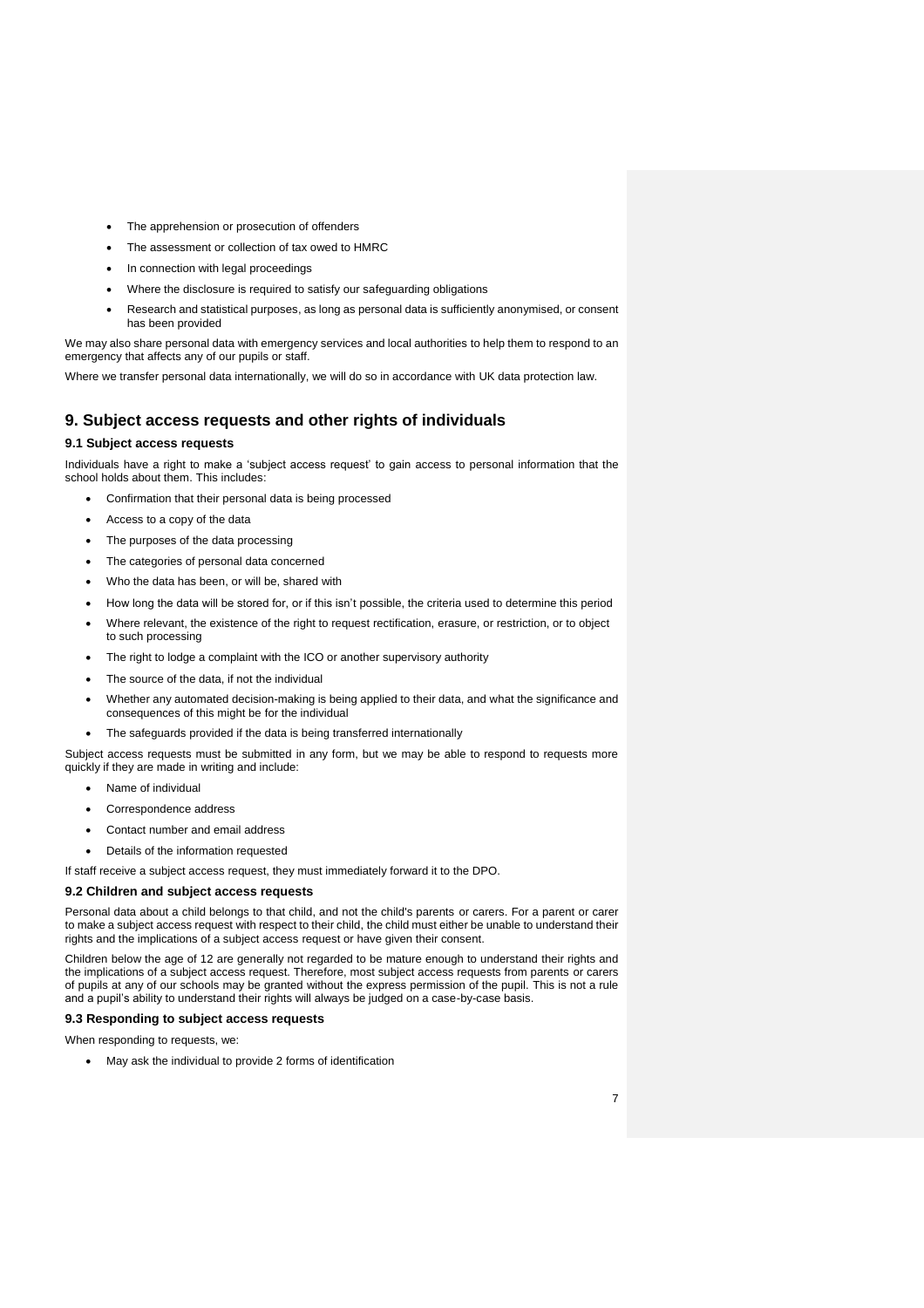- The apprehension or prosecution of offenders
- The assessment or collection of tax owed to HMRC
- In connection with legal proceedings
- Where the disclosure is required to satisfy our safeguarding obligations
- Research and statistical purposes, as long as personal data is sufficiently anonymised, or consent has been provided

We may also share personal data with emergency services and local authorities to help them to respond to an emergency that affects any of our pupils or staff.

Where we transfer personal data internationally, we will do so in accordance with UK data protection law.

## **9. Subject access requests and other rights of individuals**

#### **9.1 Subject access requests**

Individuals have a right to make a 'subject access request' to gain access to personal information that the school holds about them. This includes:

- Confirmation that their personal data is being processed
- Access to a copy of the data
- The purposes of the data processing
- The categories of personal data concerned
- Who the data has been, or will be, shared with
- How long the data will be stored for, or if this isn't possible, the criteria used to determine this period
- Where relevant, the existence of the right to request rectification, erasure, or restriction, or to object to such processing
- The right to lodge a complaint with the ICO or another supervisory authority
- The source of the data, if not the individual
- Whether any automated decision-making is being applied to their data, and what the significance and consequences of this might be for the individual
- The safeguards provided if the data is being transferred internationally

Subject access requests must be submitted in any form, but we may be able to respond to requests more quickly if they are made in writing and include:

- Name of individual
- Correspondence address
- Contact number and email address
- Details of the information requested

If staff receive a subject access request, they must immediately forward it to the DPO.

#### **9.2 Children and subject access requests**

Personal data about a child belongs to that child, and not the child's parents or carers. For a parent or carer to make a subject access request with respect to their child, the child must either be unable to understand their rights and the implications of a subject access request or have given their consent.

Children below the age of 12 are generally not regarded to be mature enough to understand their rights and the implications of a subject access request. Therefore, most subject access requests from parents or carers of pupils at any of our schools may be granted without the express permission of the pupil. This is not a rule and a pupil's ability to understand their rights will always be judged on a case-by-case basis.

#### **9.3 Responding to subject access requests**

When responding to requests, we:

May ask the individual to provide 2 forms of identification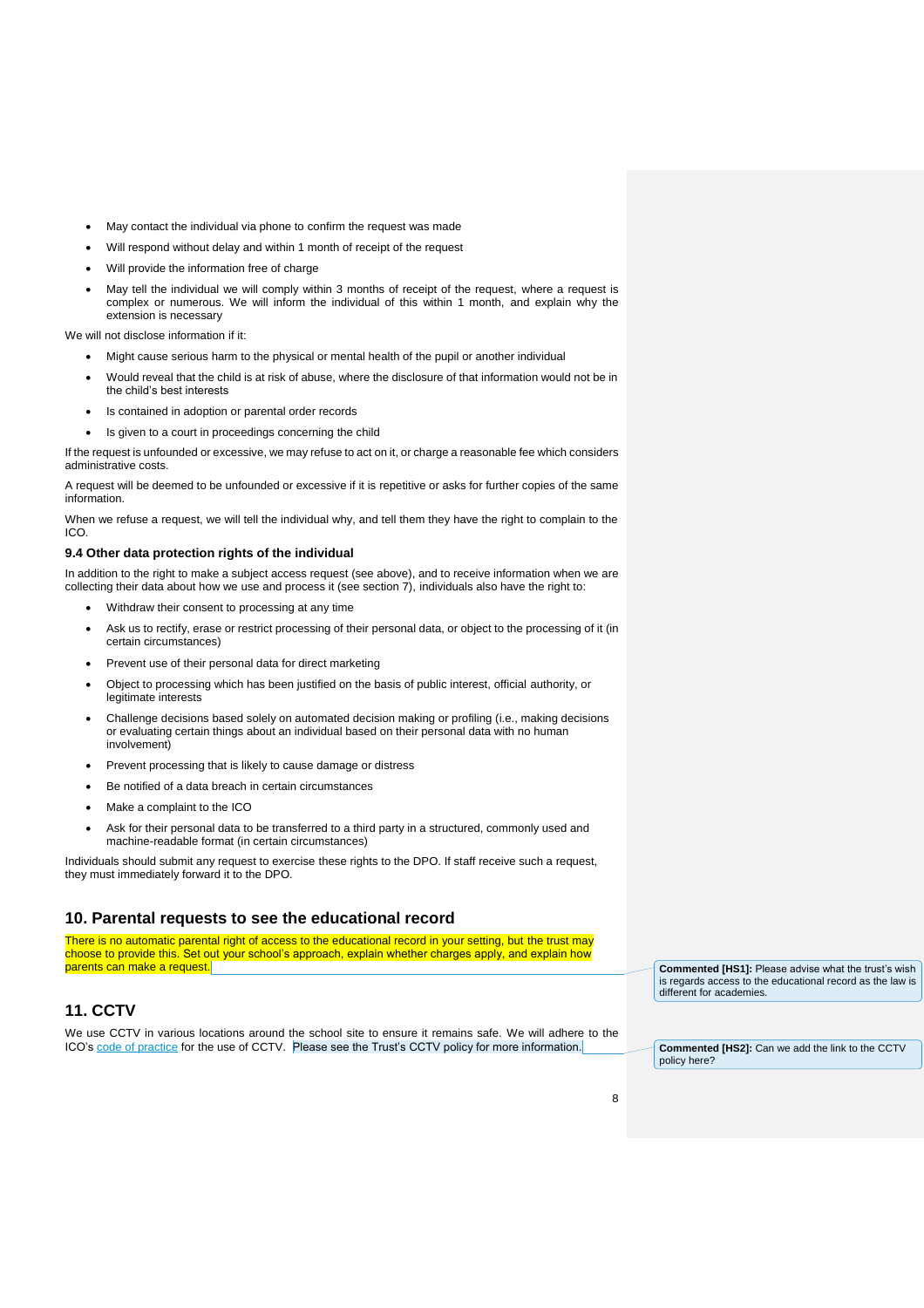- May contact the individual via phone to confirm the request was made
- Will respond without delay and within 1 month of receipt of the request
- Will provide the information free of charge
- May tell the individual we will comply within 3 months of receipt of the request, where a request is complex or numerous. We will inform the individual of this within 1 month, and explain why the extension is necessary

We will not disclose information if it:

- Might cause serious harm to the physical or mental health of the pupil or another individual
- Would reveal that the child is at risk of abuse, where the disclosure of that information would not be in the child's best interests
- Is contained in adoption or parental order records
- Is given to a court in proceedings concerning the child

If the request is unfounded or excessive, we may refuse to act on it, or charge a reasonable fee which considers administrative costs.

A request will be deemed to be unfounded or excessive if it is repetitive or asks for further copies of the same information.

When we refuse a request, we will tell the individual why, and tell them they have the right to complain to the ICO.

#### **9.4 Other data protection rights of the individual**

In addition to the right to make a subject access request (see above), and to receive information when we are collecting their data about how we use and process it (see section 7), individuals also have the right to:

- Withdraw their consent to processing at any time
- Ask us to rectify, erase or restrict processing of their personal data, or object to the processing of it (in certain circumstances)
- Prevent use of their personal data for direct marketing
- Object to processing which has been justified on the basis of public interest, official authority, or legitimate interests
- Challenge decisions based solely on automated decision making or profiling (i.e., making decisions or evaluating certain things about an individual based on their personal data with no human involvement)
- Prevent processing that is likely to cause damage or distress
- Be notified of a data breach in certain circumstances
- Make a complaint to the ICO
- Ask for their personal data to be transferred to a third party in a structured, commonly used and machine-readable format (in certain circumstances)

Individuals should submit any request to exercise these rights to the DPO. If staff receive such a request, they must immediately forward it to the DPO.

## **10. Parental requests to see the educational record**

There is no automatic parental right of access to the educational record in your setting, but the trust may choose to provide this. Set out your school's approach, explain whether charges apply, and explain how parents can make a request.

**Commented [HS1]:** Please advise what the trust's wish is regards access to the educational record as the law is different for academies.

# **11. CCTV**

We use CCTV in various locations around the school site to ensure it remains safe. We will adhere to the ICO's [code of practice](https://ico.org.uk/media/for-organisations/documents/1542/cctv-code-of-practice.pdf) for the use of CCTV. Please see the Trust's CCTV policy for more information.

**Commented [HS2]:** Can we add the link to the CCTV policy here?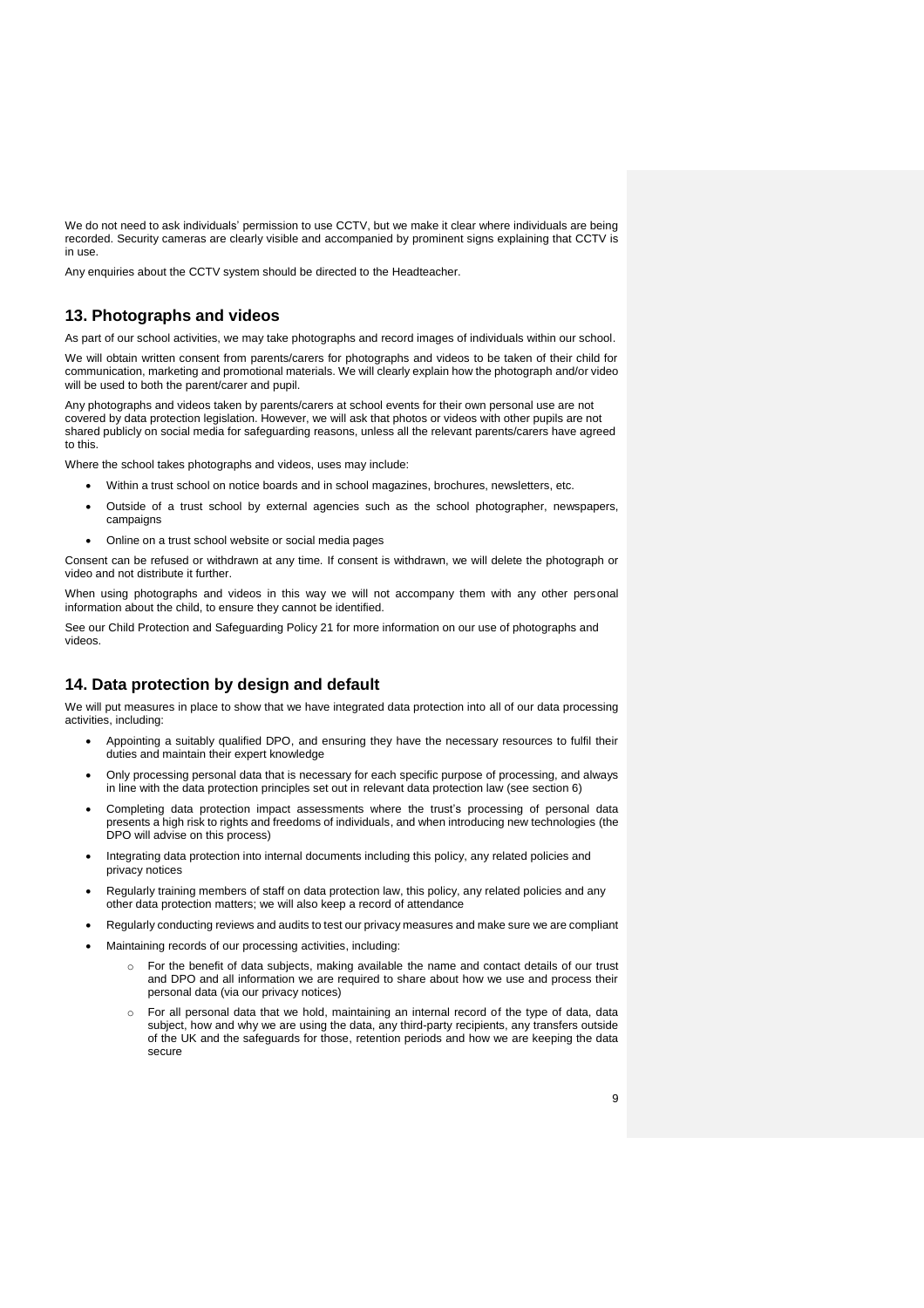We do not need to ask individuals' permission to use CCTV, but we make it clear where individuals are being recorded. Security cameras are clearly visible and accompanied by prominent signs explaining that CCTV is in use.

Any enquiries about the CCTV system should be directed to the Headteacher.

## **13. Photographs and videos**

As part of our school activities, we may take photographs and record images of individuals within our school.

We will obtain written consent from parents/carers for photographs and videos to be taken of their child for communication, marketing and promotional materials. We will clearly explain how the photograph and/or video will be used to both the parent/carer and pupil.

Any photographs and videos taken by parents/carers at school events for their own personal use are not covered by data protection legislation. However, we will ask that photos or videos with other pupils are not shared publicly on social media for safeguarding reasons, unless all the relevant parents/carers have agreed to this.

Where the school takes photographs and videos, uses may include:

- Within a trust school on notice boards and in school magazines, brochures, newsletters, etc.
- Outside of a trust school by external agencies such as the school photographer, newspapers, campaigns
- Online on a trust school website or social media pages

Consent can be refused or withdrawn at any time. If consent is withdrawn, we will delete the photograph or video and not distribute it further.

When using photographs and videos in this way we will not accompany them with any other personal information about the child, to ensure they cannot be identified.

See our Child Protection and Safeguarding Policy 21 for more information on our use of photographs and videos.

## **14. Data protection by design and default**

We will put measures in place to show that we have integrated data protection into all of our data processing activities, including:

- Appointing a suitably qualified DPO, and ensuring they have the necessary resources to fulfil their duties and maintain their expert knowledge
- Only processing personal data that is necessary for each specific purpose of processing, and always in line with the data protection principles set out in relevant data protection law (see section 6)
- Completing data protection impact assessments where the trust's processing of personal data presents a high risk to rights and freedoms of individuals, and when introducing new technologies (the DPO will advise on this process)
- Integrating data protection into internal documents including this policy, any related policies and privacy notices
- Regularly training members of staff on data protection law, this policy, any related policies and any other data protection matters; we will also keep a record of attendance
- Regularly conducting reviews and audits to test our privacy measures and make sure we are compliant
- Maintaining records of our processing activities, including:
	- For the benefit of data subjects, making available the name and contact details of our trust and DPO and all information we are required to share about how we use and process their personal data (via our privacy notices)
	- $\circ$  For all personal data that we hold, maintaining an internal record of the type of data, data subject, how and why we are using the data, any third-party recipients, any transfers outside of the UK and the safeguards for those, retention periods and how we are keeping the data secure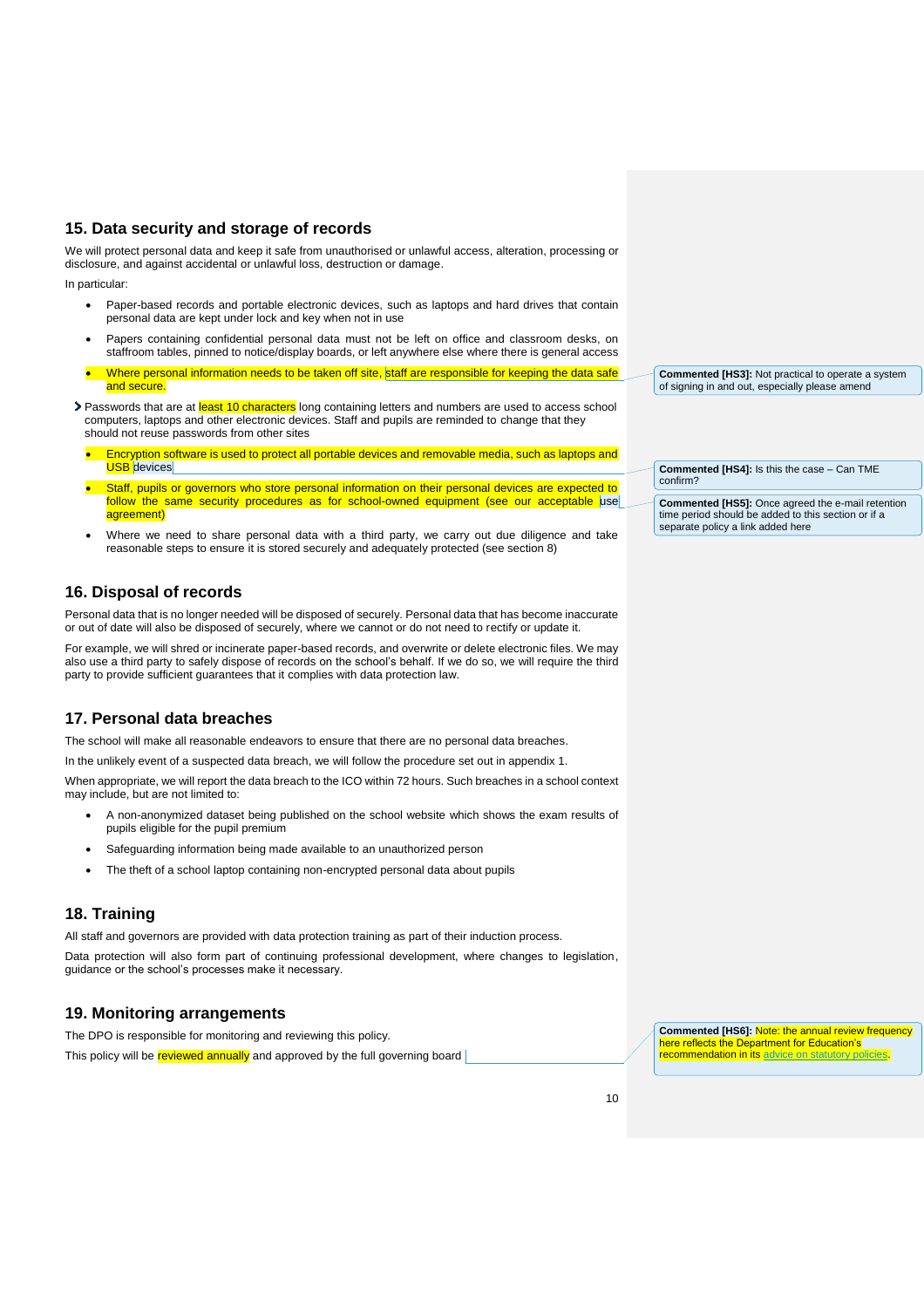# **15. Data security and storage of records**

We will protect personal data and keep it safe from unauthorised or unlawful access, alteration, processing or disclosure, and against accidental or unlawful loss, destruction or damage.

In particular:

- Paper-based records and portable electronic devices, such as laptops and hard drives that contain personal data are kept under lock and key when not in use
- Papers containing confidential personal data must not be left on office and classroom desks, on staffroom tables, pinned to notice/display boards, or left anywhere else where there is general access
- Where personal information needs to be taken off site, staff are responsible for keeping the data safe and secure.
- > Passwords that are at least 10 characters long containing letters and numbers are used to access school computers, laptops and other electronic devices. Staff and pupils are reminded to change that they should not reuse passwords from other sites
	- Encryption software is used to protect all portable devices and removable media, such as laptops and **USB** devices
	- Staff, pupils or governors who store personal information on their personal devices are expected to follow the same security procedures as for school-owned equipment (see our acceptable use agreement<sup>'</sup>
	- Where we need to share personal data with a third party, we carry out due diligence and take reasonable steps to ensure it is stored securely and adequately protected (see section 8)

# **16. Disposal of records**

Personal data that is no longer needed will be disposed of securely. Personal data that has become inaccurate or out of date will also be disposed of securely, where we cannot or do not need to rectify or update it.

For example, we will shred or incinerate paper-based records, and overwrite or delete electronic files. We may also use a third party to safely dispose of records on the school's behalf. If we do so, we will require the third party to provide sufficient guarantees that it complies with data protection law.

# **17. Personal data breaches**

The school will make all reasonable endeavors to ensure that there are no personal data breaches.

In the unlikely event of a suspected data breach, we will follow the procedure set out in appendix 1.

When appropriate, we will report the data breach to the ICO within 72 hours. Such breaches in a school context may include, but are not limited to:

- A non-anonymized dataset being published on the school website which shows the exam results of pupils eligible for the pupil premium
- Safeguarding information being made available to an unauthorized person
- The theft of a school laptop containing non-encrypted personal data about pupils

# **18. Training**

All staff and governors are provided with data protection training as part of their induction process.

Data protection will also form part of continuing professional development, where changes to legislation, guidance or the school's processes make it necessary.

# **19. Monitoring arrangements**

The DPO is responsible for monitoring and reviewing this policy.

This policy will be reviewed annually and approved by the full governing board

**Commented [HS3]:** Not practical to operate a system of signing in and out, especially please amend

**Commented [HS4]:** Is this the case – Can TME confirm?

**Commented [HS5]:** Once agreed the e-mail retention time period should be added to this section or if a separate policy a link added here

**Commented [HS6]:** Note: the annual review frequency here reflects the Department for Education's **recommendation in its advice on statutory policies**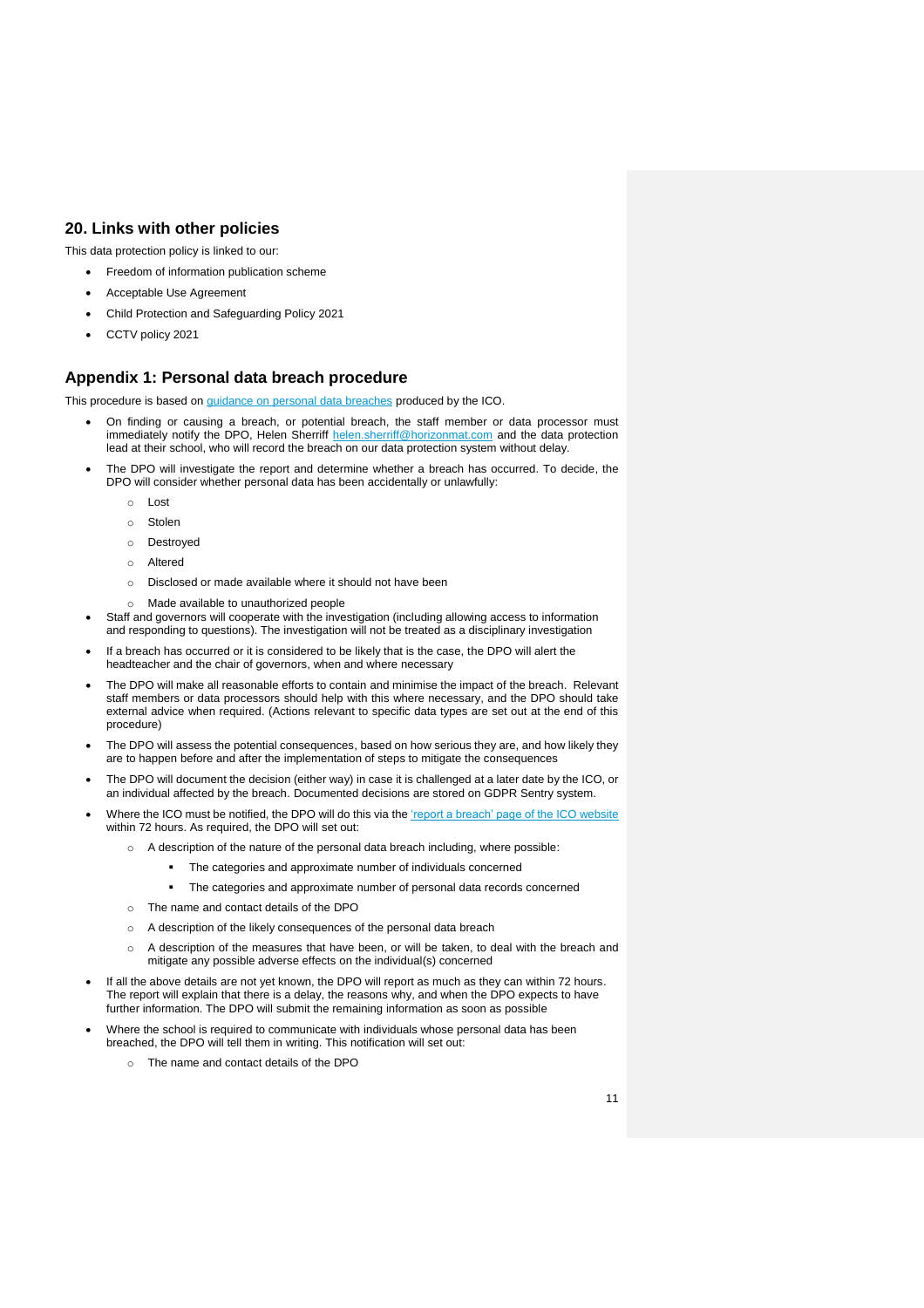# **20. Links with other policies**

This data protection policy is linked to our:

- Freedom of information publication scheme
- Acceptable Use Agreement
- Child Protection and Safeguarding Policy 2021
- CCTV policy 2021

## **Appendix 1: Personal data breach procedure**

This procedure is based on [guidance on personal data breaches](https://ico.org.uk/for-organisations/guide-to-the-general-data-protection-regulation-gdpr/personal-data-breaches/) produced by the ICO.

- On finding or causing a breach, or potential breach, the staff member or data processor must immediately notify the DPO, Helen Sherriff [helen.sherriff@horizonmat.com](mailto:helen.sherriff@horizonmat.com) and the data protection lead at their school, who will record the breach on our data protection system without delay.
- The DPO will investigate the report and determine whether a breach has occurred. To decide, the DPO will consider whether personal data has been accidentally or unlawfully:
	- o Lost
	- o Stolen
	- o Destroyed
	- o Altered
	- Disclosed or made available where it should not have been
	- o Made available to unauthorized people
- Staff and governors will cooperate with the investigation (including allowing access to information and responding to questions). The investigation will not be treated as a disciplinary investigation
- If a breach has occurred or it is considered to be likely that is the case, the DPO will alert the headteacher and the chair of governors, when and where necessary
- The DPO will make all reasonable efforts to contain and minimise the impact of the breach. Relevant staff members or data processors should help with this where necessary, and the DPO should take external advice when required. (Actions relevant to specific data types are set out at the end of this procedure)
- The DPO will assess the potential consequences, based on how serious they are, and how likely they are to happen before and after the implementation of steps to mitigate the consequences
- The DPO will document the decision (either way) in case it is challenged at a later date by the ICO, or an individual affected by the breach. Documented decisions are stored on GDPR Sentry system.
- Where the ICO must be notified, the DPO will do this via the ['report a breach' page of the ICO website](https://ico.org.uk/for-organisations/report-a-breach/) within 72 hours. As required, the DPO will set out:
	- $\circ$  A description of the nature of the personal data breach including, where possible:
		- **The categories and approximate number of individuals concerned** 
			- The categories and approximate number of personal data records concerned
	- o The name and contact details of the DPO
	- o A description of the likely consequences of the personal data breach
	- o A description of the measures that have been, or will be taken, to deal with the breach and mitigate any possible adverse effects on the individual(s) concerned
- If all the above details are not yet known, the DPO will report as much as they can within 72 hours. The report will explain that there is a delay, the reasons why, and when the DPO expects to have further information. The DPO will submit the remaining information as soon as possible
- Where the school is required to communicate with individuals whose personal data has been breached, the DPO will tell them in writing. This notification will set out:
	- The name and contact details of the DPO